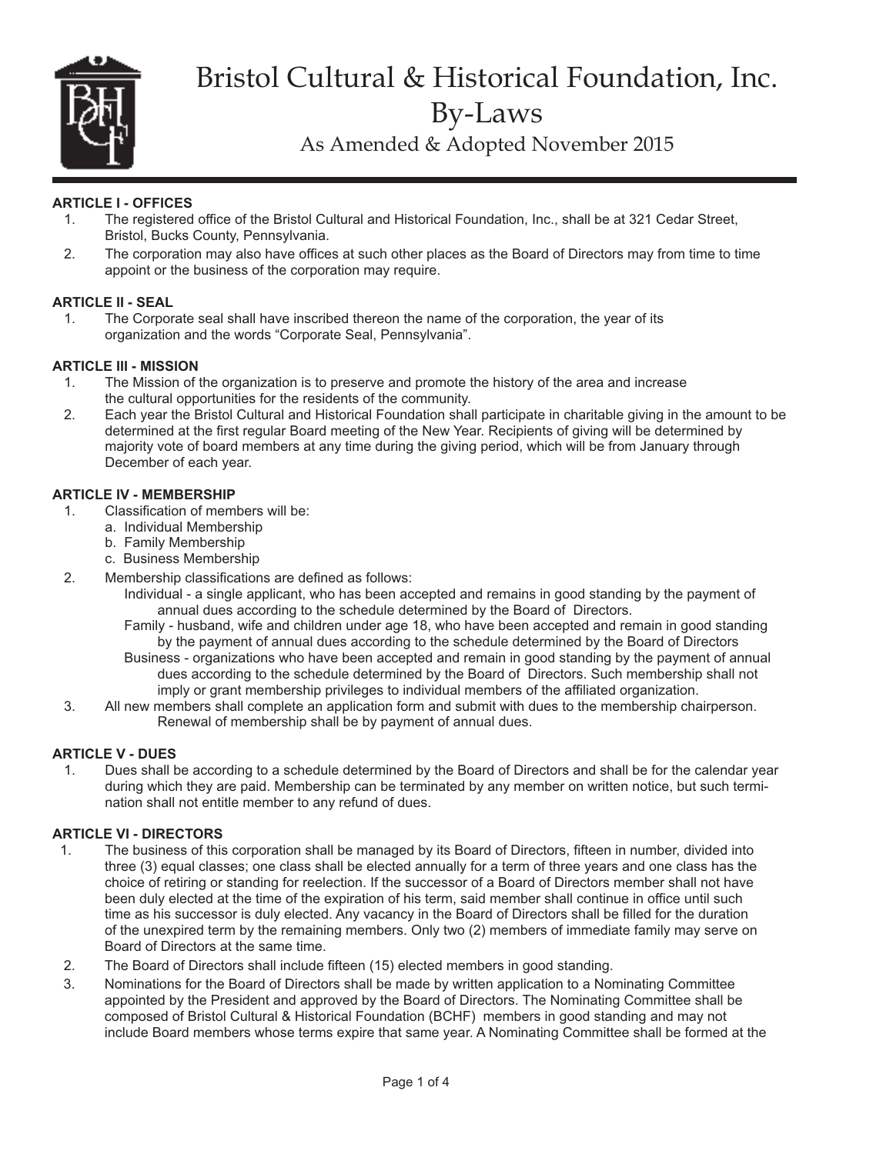

# Bristol Cultural & Historical Foundation, Inc. By-Laws

As Amended & Adopted November 2015

# **ARTICLE I - OFFICES**

- 1. The registered office of the Bristol Cultural and Historical Foundation, Inc., shall be at 321 Cedar Street, Bristol, Bucks County, Pennsylvania.
- 2. The corporation may also have offices at such other places as the Board of Directors may from time to time appoint or the business of the corporation may require.

## **ARTICLE II - SEAL**

1. The Corporate seal shall have inscribed thereon the name of the corporation, the year of its organization and the words "Corporate Seal, Pennsylvania".

### **ARTICLE III - MISSION**

- 1. The Mission of the organization is to preserve and promote the history of the area and increase the cultural opportunities for the residents of the community.
- 2. Each year the Bristol Cultural and Historical Foundation shall participate in charitable giving in the amount to be determined at the first regular Board meeting of the New Year. Recipients of giving will be determined by majority vote of board members at any time during the giving period, which will be from January through December of each year.

### **ARTICLE IV - MEMBERSHIP**

- 1. Classification of members will be:
	- a. Individual Membership
	- b. Family Membership
	- c. Business Membership
- 2. Membership classifications are defined as follows:
	- Individual a single applicant, who has been accepted and remains in good standing by the payment of annual dues according to the schedule determined by the Board of Directors.
	- Family husband, wife and children under age 18, who have been accepted and remain in good standing by the payment of annual dues according to the schedule determined by the Board of Directors
	- Business organizations who have been accepted and remain in good standing by the payment of annual dues according to the schedule determined by the Board of Directors. Such membership shall not imply or grant membership privileges to individual members of the affiliated organization.
- 3. All new members shall complete an application form and submit with dues to the membership chairperson. Renewal of membership shall be by payment of annual dues.

# **ARTICLE V - DUES**

Dues shall be according to a schedule determined by the Board of Directors and shall be for the calendar year during which they are paid. Membership can be terminated by any member on written notice, but such termination shall not entitle member to any refund of dues.

### **ARTICLE VI - DIRECTORS**

- 1. The business of this corporation shall be managed by its Board of Directors, fifteen in number, divided into three (3) equal classes; one class shall be elected annually for a term of three years and one class has the choice of retiring or standing for reelection. If the successor of a Board of Directors member shall not have been duly elected at the time of the expiration of his term, said member shall continue in office until such time as his successor is duly elected. Any vacancy in the Board of Directors shall be filled for the duration of the unexpired term by the remaining members. Only two (2) members of immediate family may serve on Board of Directors at the same time.
- 2. The Board of Directors shall include fifteen (15) elected members in good standing.
- 3. Nominations for the Board of Directors shall be made by written application to a Nominating Committee appointed by the President and approved by the Board of Directors. The Nominating Committee shall be composed of Bristol Cultural & Historical Foundation (BCHF) members in good standing and may not include Board members whose terms expire that same year. A Nominating Committee shall be formed at the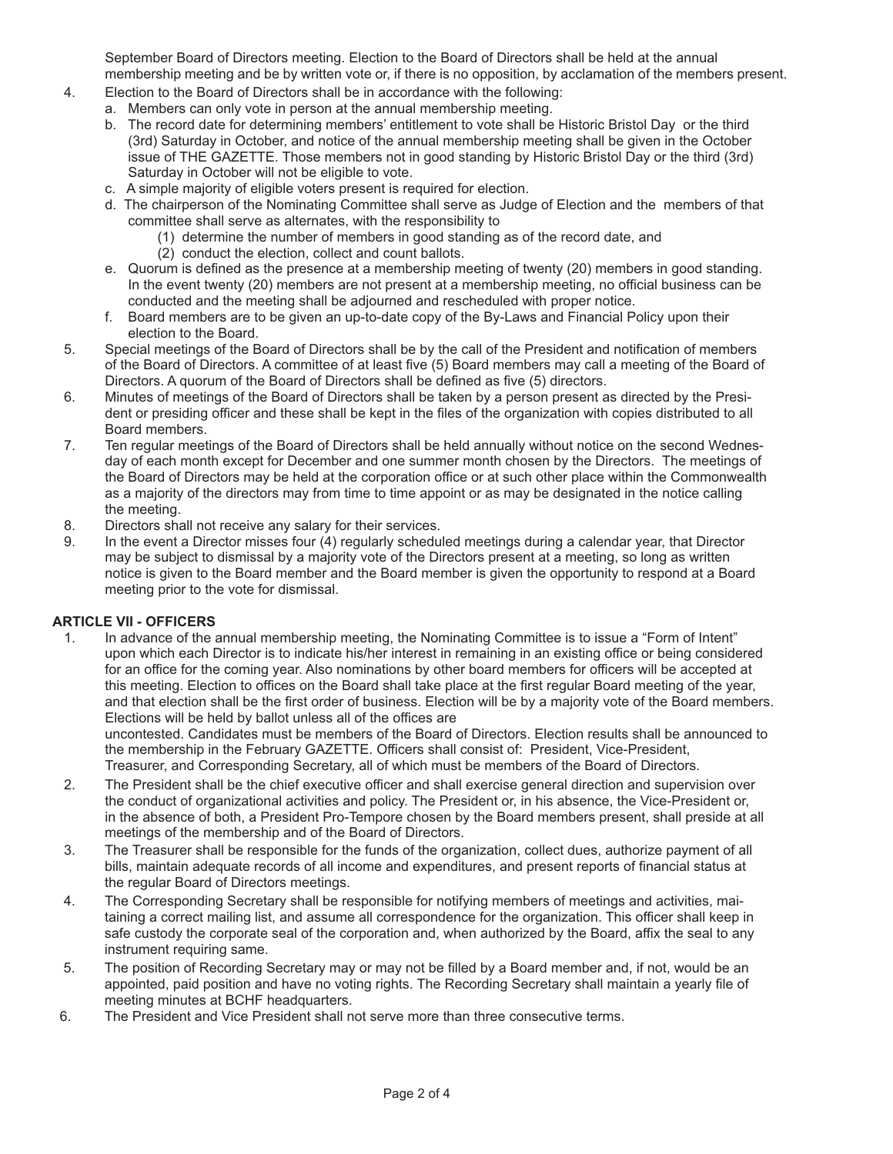September Board of Directors meeting. Election to the Board of Directors shall be held at the annual membership meeting and be by written vote or, if there is no opposition, by acclamation of the members present.

- 4. Election to the Board of Directors shall be in accordance with the following:
	- a. Members can only vote in person at the annual membership meeting.
		- b. The record date for determining members' entitlement to vote shall be Historic Bristol Day or the third (3rd) Saturday in October, and notice of the annual membership meeting shall be given in the October issue of THE GAZETTE. Those members not in good standing by Historic Bristol Day or the third (3rd) Saturday in October will not be eligible to vote.
		- c. A simple majority of eligible voters present is required for election.
	- d. The chairperson of the Nominating Committee shall serve as Judge of Election and the members of that committee shall serve as alternates, with the responsibility to
		- (1) determine the number of members in good standing as of the record date, and
			- (2) conduct the election, collect and count ballots.
	- e. Quorum is defined as the presence at a membership meeting of twenty (20) members in good standing. In the event twenty (20) members are not present at a membership meeting, no official business can be conducted and the meeting shall be adjourned and rescheduled with proper notice.
	- f. Board members are to be given an up-to-date copy of the By-Laws and Financial Policy upon their election to the Board.
- 5. Special meetings of the Board of Directors shall be by the call of the President and notification of members of the Board of Directors. A committee of at least five (5) Board members may call a meeting of the Board of Directors. A quorum of the Board of Directors shall be defined as five (5) directors.
- 6. Minutes of meetings of the Board of Directors shall be taken by a person present as directed by the President or presiding officer and these shall be kept in the files of the organization with copies distributed to all Board members.
- 7. Ten regular meetings of the Board of Directors shall be held annually without notice on the second Wednesday of each month except for December and one summer month chosen by the Directors. The meetings of the Board of Directors may be held at the corporation office or at such other place within the Commonwealth as a majority of the directors may from time to time appoint or as may be designated in the notice calling the meeting.
- 8. Directors shall not receive any salary for their services.
- 9. In the event a Director misses four (4) regularly scheduled meetings during a calendar year, that Director may be subject to dismissal by a majority vote of the Directors present at a meeting, so long as written notice is given to the Board member and the Board member is given the opportunity to respond at a Board meeting prior to the vote for dismissal.

### **ARTICLE VII - OFFICERS**

1. In advance of the annual membership meeting, the Nominating Committee is to issue a "Form of Intent" upon which each Director is to indicate his/her interest in remaining in an existing office or being considered for an office for the coming year. Also nominations by other board members for officers will be accepted at this meeting. Election to offices on the Board shall take place at the first regular Board meeting of the year, and that election shall be the first order of business. Election will be by a majority vote of the Board members. Elections will be held by ballot unless all of the offices are

uncontested. Candidates must be members of the Board of Directors. Election results shall be announced to the membership in the February GAZETTE. Officers shall consist of: President, Vice-President, Treasurer, and Corresponding Secretary, all of which must be members of the Board of Directors.

- 2. The President shall be the chief executive officer and shall exercise general direction and supervision over the conduct of organizational activities and policy. The President or, in his absence, the Vice-President or, in the absence of both, a President Pro-Tempore chosen by the Board members present, shall preside at all meetings of the membership and of the Board of Directors.
- 3. The Treasurer shall be responsible for the funds of the organization, collect dues, authorize payment of all bills, maintain adequate records of all income and expenditures, and present reports of financial status at the regular Board of Directors meetings.
- 4. The Corresponding Secretary shall be responsible for notifying members of meetings and activities, maitaining a correct mailing list, and assume all correspondence for the organization. This officer shall keep in safe custody the corporate seal of the corporation and, when authorized by the Board, affix the seal to any instrument requiring same.
- 5. The position of Recording Secretary may or may not be filled by a Board member and, if not, would be an appointed, paid position and have no voting rights. The Recording Secretary shall maintain a yearly file of meeting minutes at BCHF headquarters.
- 6. The President and Vice President shall not serve more than three consecutive terms.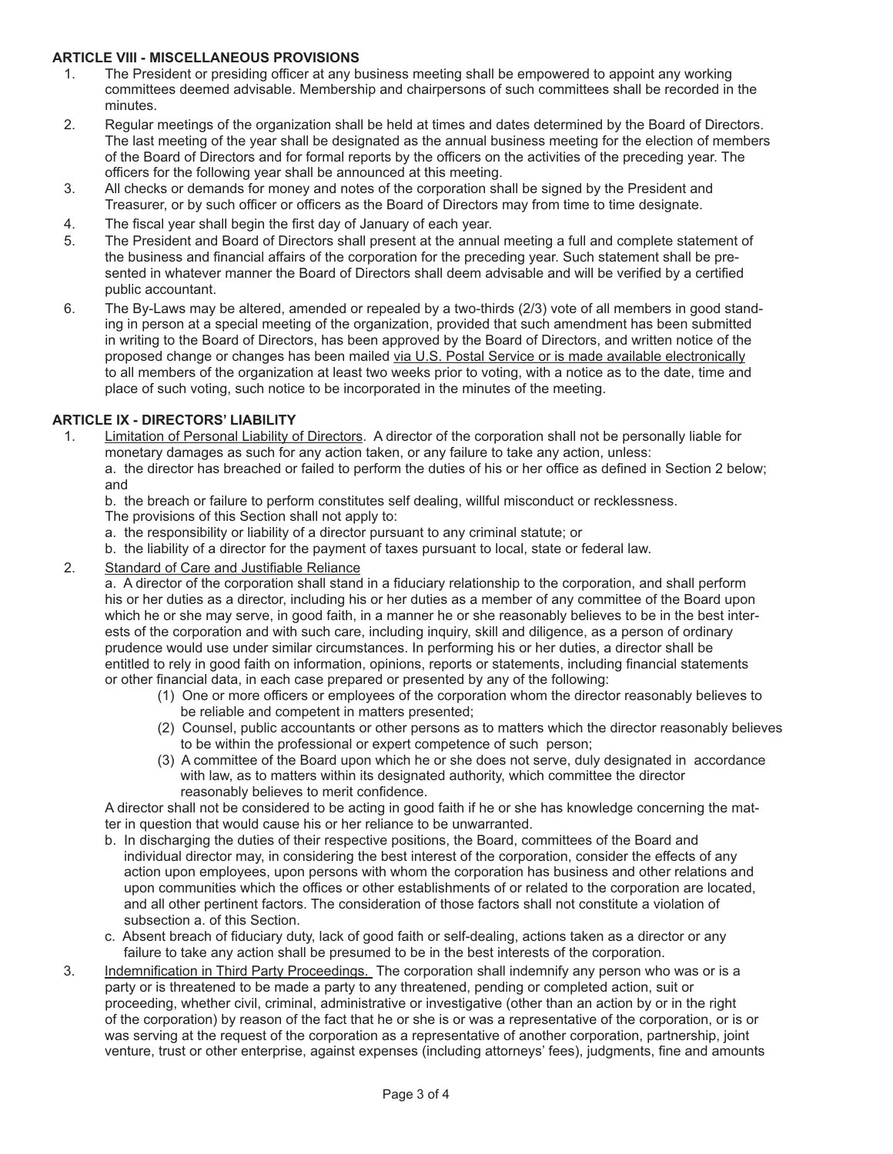### **ARTICLE VIII - MISCELLANEOUS PROVISIONS**

- 1. The President or presiding officer at any business meeting shall be empowered to appoint any working committees deemed advisable. Membership and chairpersons of such committees shall be recorded in the minutes.
- 2. Regular meetings of the organization shall be held at times and dates determined by the Board of Directors. The last meeting of the year shall be designated as the annual business meeting for the election of members of the Board of Directors and for formal reports by the officers on the activities of the preceding year. The officers for the following year shall be announced at this meeting.
- 3. All checks or demands for money and notes of the corporation shall be signed by the President and Treasurer, or by such officer or officers as the Board of Directors may from time to time designate.
- 4. The fiscal year shall begin the first day of January of each year.
- 5. The President and Board of Directors shall present at the annual meeting a full and complete statement of the business and financial affairs of the corporation for the preceding year. Such statement shall be presented in whatever manner the Board of Directors shall deem advisable and will be verified by a certified public accountant.
- 6. The By-Laws may be altered, amended or repealed by a two-thirds (2/3) vote of all members in good standing in person at a special meeting of the organization, provided that such amendment has been submitted in writing to the Board of Directors, has been approved by the Board of Directors, and written notice of the proposed change or changes has been mailed via U.S. Postal Service or is made available electronically to all members of the organization at least two weeks prior to voting, with a notice as to the date, time and place of such voting, such notice to be incorporated in the minutes of the meeting.

## **ARTICLE IX - DIRECTORS' LIABILITY**

1. Limitation of Personal Liability of Directors. A director of the corporation shall not be personally liable for monetary damages as such for any action taken, or any failure to take any action, unless: a. the director has breached or failed to perform the duties of his or her office as defined in Section 2 below;

and

b. the breach or failure to perform constitutes self dealing, willful misconduct or recklessness.

- The provisions of this Section shall not apply to:
- a. the responsibility or liability of a director pursuant to any criminal statute; or
- b. the liability of a director for the payment of taxes pursuant to local, state or federal law.
- 2. Standard of Care and Justifiable Reliance

a. A director of the corporation shall stand in a fiduciary relationship to the corporation, and shall perform his or her duties as a director, including his or her duties as a member of any committee of the Board upon which he or she may serve, in good faith, in a manner he or she reasonably believes to be in the best interests of the corporation and with such care, including inquiry, skill and diligence, as a person of ordinary prudence would use under similar circumstances. In performing his or her duties, a director shall be entitled to rely in good faith on information, opinions, reports or statements, including financial statements or other financial data, in each case prepared or presented by any of the following:

- (1) One or more officers or employees of the corporation whom the director reasonably believes to be reliable and competent in matters presented;
- (2) Counsel, public accountants or other persons as to matters which the director reasonably believes to be within the professional or expert competence of such person;
- (3) A committee of the Board upon which he or she does not serve, duly designated in accordance with law, as to matters within its designated authority, which committee the director reasonably believes to merit confidence.

A director shall not be considered to be acting in good faith if he or she has knowledge concerning the matter in question that would cause his or her reliance to be unwarranted.

- b. In discharging the duties of their respective positions, the Board, committees of the Board and individual director may, in considering the best interest of the corporation, consider the effects of any action upon employees, upon persons with whom the corporation has business and other relations and upon communities which the offices or other establishments of or related to the corporation are located, and all other pertinent factors. The consideration of those factors shall not constitute a violation of subsection a. of this Section.
- c. Absent breach of fiduciary duty, lack of good faith or self-dealing, actions taken as a director or any failure to take any action shall be presumed to be in the best interests of the corporation.
- 3. Indemnification in Third Party Proceedings. The corporation shall indemnify any person who was or is a party or is threatened to be made a party to any threatened, pending or completed action, suit or proceeding, whether civil, criminal, administrative or investigative (other than an action by or in the right of the corporation) by reason of the fact that he or she is or was a representative of the corporation, or is or was serving at the request of the corporation as a representative of another corporation, partnership, joint venture, trust or other enterprise, against expenses (including attorneys' fees), judgments, fine and amounts